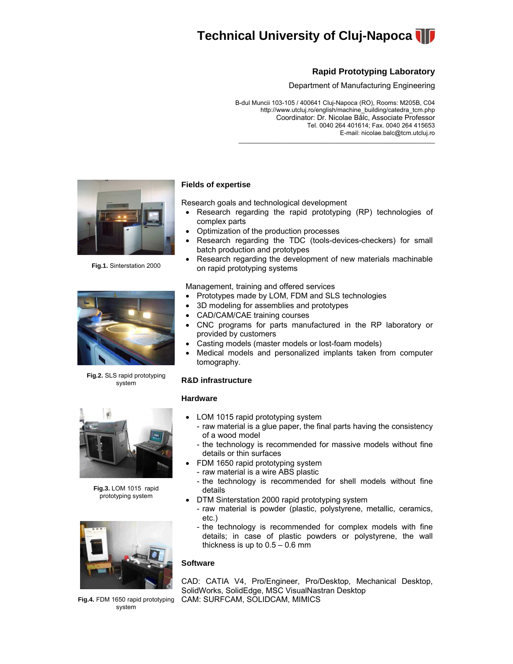

# **Rapid Prototyping Laboratory**

Department of Manufacturing Engineering

B-dul Muncii 103-105 / 400641 Cluj-Napoca (RO), Rooms: M205B, C04 http://www.utcluj.ro/english/machine\_building/catedra\_tcm.php Coordinator: Dr. Nicolae Bâlc, Associate Professor Tel. 0040 264 401614; Fax. 0040 264 415653 E-mail: nicolae.balc@tcm.utcluj.ro

 $\mathcal{L}_\text{max}$  and  $\mathcal{L}_\text{max}$  and  $\mathcal{L}_\text{max}$  and  $\mathcal{L}_\text{max}$  and  $\mathcal{L}_\text{max}$ 



**Fig.1.** Sinterstation 2000



**Fig.2.** SLS rapid prototyping system

# **Fields of expertise**

Research goals and technological development

- Research regarding the rapid prototyping (RP) technologies of complex parts
- Optimization of the production processes
- Research regarding the TDC (tools-devices-checkers) for small batch production and prototypes
- Research regarding the development of new materials machinable on rapid prototyping systems

Management, training and offered services

- Prototypes made by LOM, FDM and SLS technologies
- 3D modeling for assemblies and prototypes
- CAD/CAM/CAE training courses
- CNC programs for parts manufactured in the RP laboratory or provided by customers
- Casting models (master models or lost-foam models)
- Medical models and personalized implants taken from computer tomography.

## **R&D infrastructure**

#### **Hardware**

- LOM 1015 rapid prototyping system
	- raw material is a glue paper, the final parts having the consistency of a wood model
	- the technology is recommended for massive models without fine details or thin surfaces
- FDM 1650 rapid prototyping system
	- raw material is a wire ABS plastic
- the technology is recommended for shell models without fine details
- DTM Sinterstation 2000 rapid prototyping system
	- raw material is powder (plastic, polystyrene, metallic, ceramics, etc.)
	- the technology is recommended for complex models with fine details; in case of plastic powders or polystyrene, the wall thickness is up to  $0.5 - 0.6$  mm

## **Software**

CAD: CATIA V4, Pro/Engineer, Pro/Desktop, Mechanical Desktop, SolidWorks, SolidEdge, MSC VisualNastran Desktop CAM: SURFCAM, SOLIDCAM, MIMICS



**Fig.3.** LOM 1015 rapid prototyping system



**Fig.4.** FDM 1650 rapid prototyping system